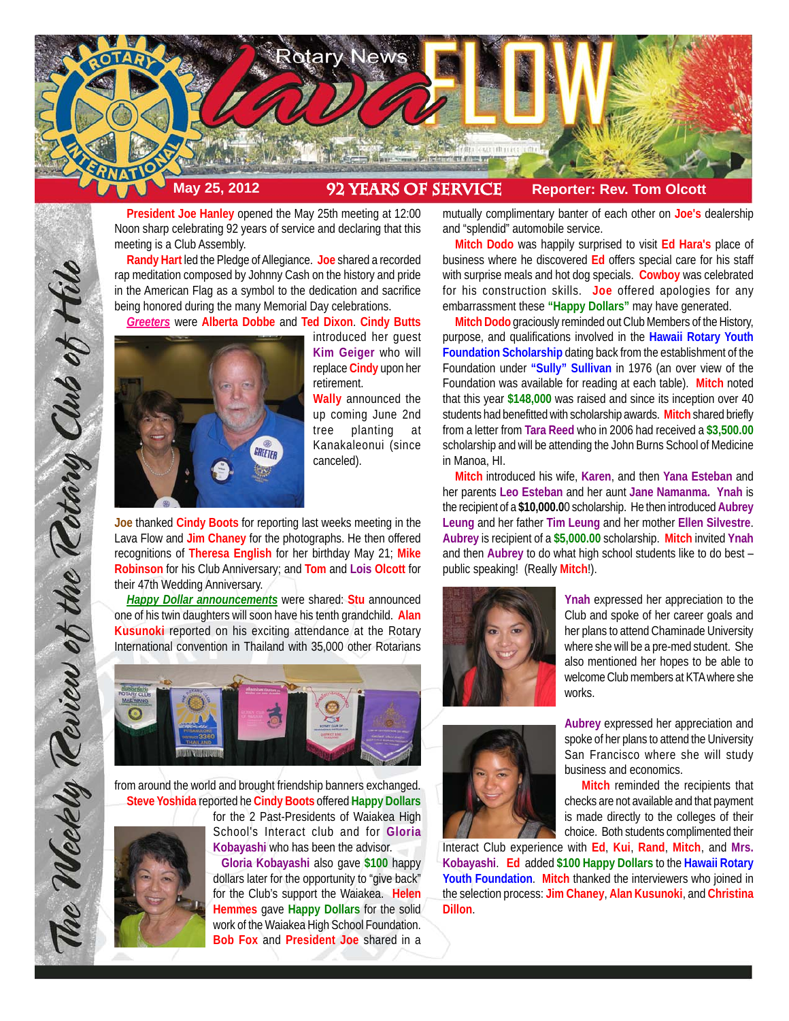

**President Joe Hanley** opened the May 25th meeting at 12:00 Noon sharp celebrating 92 years of service and declaring that this meeting is a Club Assembly.

**Randy Hart** led the Pledge of Allegiance. **Joe** shared a recorded rap meditation composed by Johnny Cash on the history and pride in the American Flag as a symbol to the dedication and sacrifice being honored during the many Memorial Day celebrations.

*Greeters* were **Alberta Dobbe** and **Ted Dixon**. **Cindy Butts**



introduced her guest **Kim Geiger** who will replace **Cindy** upon her retirement.

**Wally** announced the up coming June 2nd tree planting at Kanakaleonui (since canceled).

**Joe** thanked **Cindy Boots** for reporting last weeks meeting in the Lava Flow and **Jim Chaney** for the photographs. He then offered recognitions of **Theresa English** for her birthday May 21; **Mike Robinson** for his Club Anniversary; and **Tom** and **Lois Olcott** for their 47th Wedding Anniversary.

*Happy Dollar announcements* were shared: **Stu** announced one of his twin daughters will soon have his tenth grandchild. **Alan Kusunoki** reported on his exciting attendance at the Rotary International convention in Thailand with 35,000 other Rotarians



from around the world and brought friendship banners exchanged. **Steve Yoshida** reported he **Cindy Boots** offered **Happy Dollars**

for the 2 Past-Presidents of Waiakea High School's Interact club and for **Gloria Kobayashi** who has been the advisor.

 **Gloria Kobayashi** also gave **\$100** happy dollars later for the opportunity to "give back" for the Club's support the Waiakea. **Helen Hemmes** gave **Happy Dollars** for the solid work of the Waiakea High School Foundation. **Bob Fox** and **President Joe** shared in a

mutually complimentary banter of each other on **Joe's** dealership and "splendid" automobile service.

**Mitch Dodo** was happily surprised to visit **Ed Hara's** place of business where he discovered **Ed** offers special care for his staff with surprise meals and hot dog specials. **Cowboy** was celebrated for his construction skills. **Joe** offered apologies for any embarrassment these **"Happy Dollars"** may have generated.

**Mitch Dodo** graciously reminded out Club Members of the History, purpose, and qualifications involved in the **Hawaii Rotary Youth Foundation Scholarship** dating back from the establishment of the Foundation under **"Sully" Sullivan** in 1976 (an over view of the Foundation was available for reading at each table). **Mitch** noted that this year **\$148,000** was raised and since its inception over 40 students had benefitted with scholarship awards. **Mitch** shared briefly from a letter from **Tara Reed** who in 2006 had received a **\$3,500.00** scholarship and will be attending the John Burns School of Medicine in Manoa, HI.

**Mitch** introduced his wife, **Karen**, and then **Yana Esteban** and her parents **Leo Esteban** and her aunt **Jane Namanma. Ynah** is the recipient of a **\$10,000.0**0 scholarship. He then introduced **Aubrey Leung** and her father **Tim Leung** and her mother **Ellen Silvestre**. **Aubrey** is recipient of a **\$5,000.00** scholarship. **Mitch** invited **Ynah** and then **Aubrey** to do what high school students like to do best – public speaking! (Really **Mitch**!).



**Ynah** expressed her appreciation to the Club and spoke of her career goals and her plans to attend Chaminade University where she will be a pre-med student. She also mentioned her hopes to be able to welcome Club members at KTA where she works.



**Aubrey** expressed her appreciation and spoke of her plans to attend the University San Francisco where she will study business and economics.

**Mitch** reminded the recipients that checks are not available and that payment is made directly to the colleges of their choice. Both students complimented their

Interact Club experience with **Ed**, **Kui**, **Rand**, **Mitch**, and **Mrs. Kobayashi**. **Ed** added **\$100 Happy Dollars** to the **Hawaii Rotary Youth Foundation**. **Mitch** thanked the interviewers who joined in the selection process: **Jim Chaney**, **Alan Kusunoki**, and **Christina Dillon**.

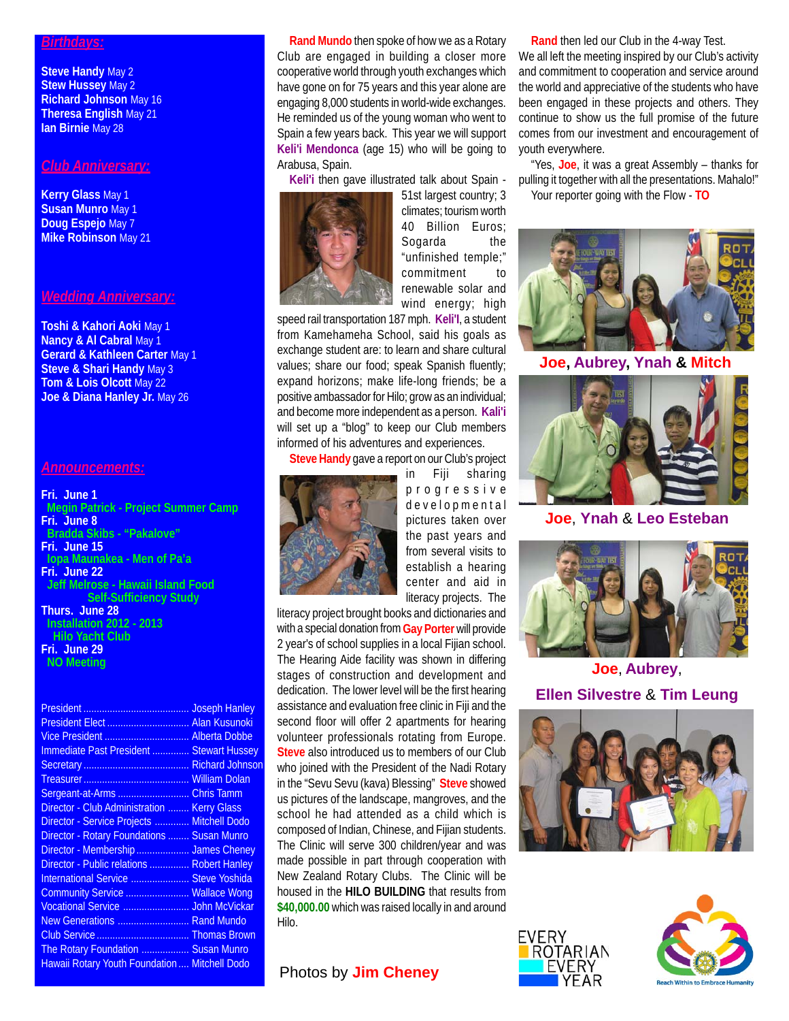#### *Birthdays:*

**Steve Handy May 2 Stew Hussey May 2 Richard Johnson** May 16 **Theresa English** May 21 **Ian Birnie** May 28

#### *Club Anniversary:*

**Kerry Glass** May 1 **Susan Munro** May 1 **Doug Espejo** May 7 **Mike Robinson** May 21

### *Wedding Anniversary:*

**Toshi & Kahori Aoki** May 1 **Nancy & Al Cabral May 1 Gerard & Kathleen Carter** May 1 **Steve & Shari Handy** May 3 **Tom & Lois Olcott** May 22 **Joe & Diana Hanley Jr.** May 26

### *Announcements:*

#### **Fri. June 1**

 **Megin Patrick - Project Summer Camp Fri. June 8 Bradda Skibs - "Pakalove" Fri. June 15 Iopa Maunakea - Men of Pa'a Fri. June 22 Jeff Melrose - Hawaii Island Food Self-Sufficiency Study Thurs. June 28 Installation 2012 - 2013 Hilo Yacht Club**

**Fri. June 29 NO Meeting**

|                                                 | <b>Joseph Hanley</b> |
|-------------------------------------------------|----------------------|
|                                                 | <b>Alan Kusunoki</b> |
| Vice President  Alberta Dobbe                   |                      |
| <b>Immediate Past President  Stewart Hussey</b> |                      |
|                                                 | Richard Johnson      |
|                                                 | <b>William Dolan</b> |
| Sergeant-at-Arms                                | <b>Chris Tamm</b>    |
| Director - Club Administration                  | <b>Kerry Glass</b>   |
| Director - Service Projects  Mitchell Dodo      |                      |
| Director - Rotary Foundations  Susan Munro      |                      |
| Director - Membership  James Cheney             |                      |
| Director - Public relations  Robert Hanley      |                      |
| International Service  Steve Yoshida            |                      |
| Community Service  Wallace Wong                 |                      |
| Vocational Service  John McVickar               |                      |
| New Generations  Rand Mundo                     |                      |
| Club Service  Thomas Brown                      |                      |
|                                                 |                      |
| Hawaii Rotary Youth Foundation  Mitchell Dodo   |                      |
| The Rotary Foundation  Susan Munro              |                      |

**Rand Mundo** then spoke of how we as a Rotary Club are engaged in building a closer more cooperative world through youth exchanges which have gone on for 75 years and this year alone are engaging 8,000 students in world-wide exchanges. He reminded us of the young woman who went to Spain a few years back. This year we will support **Keli'i Mendonca** (age 15) who will be going to Arabusa, Spain.

**Keli'i** then gave illustrated talk about Spain -



51st largest country; 3 climates; tourism worth 40 Billion Euros; Sogarda the "unfinished temple;" commitment to renewable solar and wind energy; high

speed rail transportation 187 mph. **Keli'I**, a student from Kamehameha School, said his goals as exchange student are: to learn and share cultural values; share our food; speak Spanish fluently; expand horizons; make life-long friends; be a positive ambassador for Hilo; grow as an individual; and become more independent as a person. **Kali'i** will set up a "blog" to keep our Club members informed of his adventures and experiences.

**Steve Handy** gave a report on our Club's project



in Fiji sharing progressive developmental pictures taken over the past years and from several visits to establish a hearing center and aid in literacy projects. The

literacy project brought books and dictionaries and with a special donation from **Gay Porter** will provide 2 year's of school supplies in a local Fijian school. The Hearing Aide facility was shown in differing stages of construction and development and dedication. The lower level will be the first hearing assistance and evaluation free clinic in Fiji and the second floor will offer 2 apartments for hearing volunteer professionals rotating from Europe. **Steve** also introduced us to members of our Club who joined with the President of the Nadi Rotary in the "Sevu Sevu (kava) Blessing" **Steve** showed us pictures of the landscape, mangroves, and the school he had attended as a child which is composed of Indian, Chinese, and Fijian students. The Clinic will serve 300 children/year and was made possible in part through cooperation with New Zealand Rotary Clubs. The Clinic will be housed in the **HILO BUILDING** that results from **\$40,000.00** which was raised locally in and around Hilo.

## **Photos by Jim Cheney**

**Rand** then led our Club in the 4-way Test.

We all left the meeting inspired by our Club's activity and commitment to cooperation and service around the world and appreciative of the students who have been engaged in these projects and others. They continue to show us the full promise of the future comes from our investment and encouragement of youth everywhere.

"Yes, **Joe**, it was a great Assembly – thanks for pulling it together with all the presentations. Mahalo!" Your reporter going with the Flow - **TO**



**Joe, Aubrey, Ynah & Mitch**



**Joe**, **Ynah** & **Leo Esteban**



**Joe**, **Aubrey**, **Ellen Silvestre** & **Tim Leung**





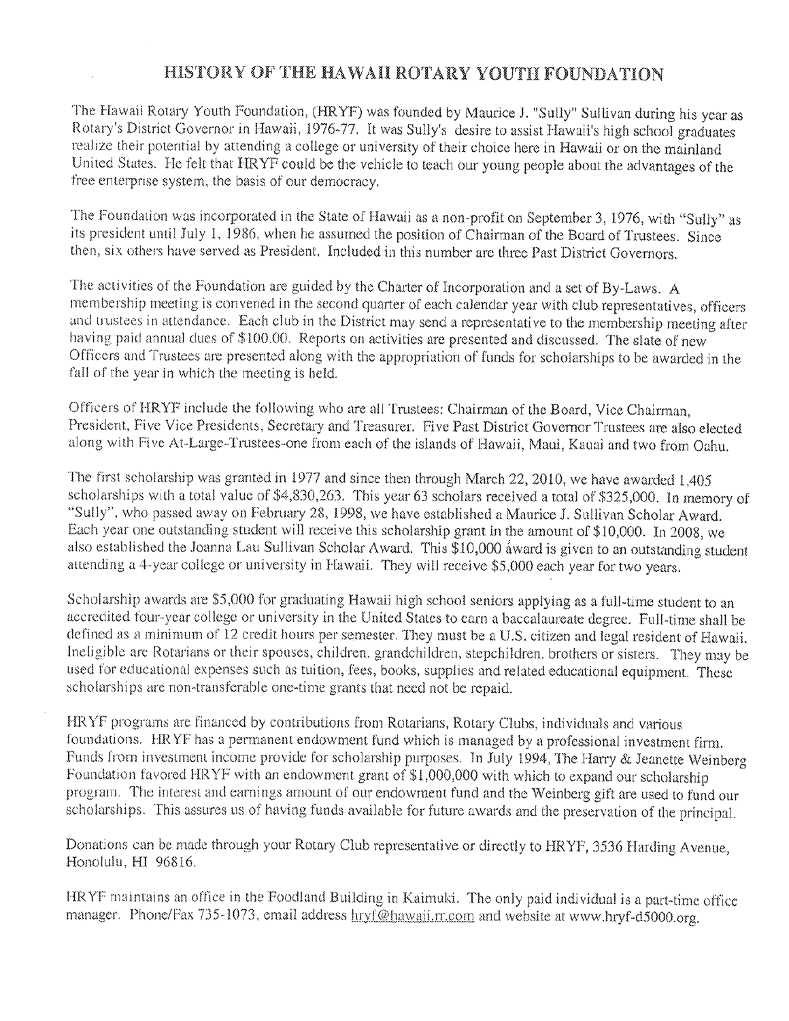# HISTORY OF THE HAWAII ROTARY YOUTH FOUNDATION

The Hawaii Rotary Youth Foundation, (HRYF) was founded by Maurice J. "Sully" Sullivan during his year as Rotary's District Governor in Hawaii, 1976-77. It was Sully's desire to assist Hawaii's high school graduates realize their potential by attending a college or university of their choice here in Hawaii or on the mainland United States. He felt that HRYF could be the vehicle to teach our young people about the advantages of the free enterprise system, the basis of our democracy.

The Foundation was incorporated in the State of Hawaii as a non-profit on September 3, 1976, with "Sully" as its president until July 1, 1986, when he assumed the position of Chairman of the Board of Trustees. Since then, six others have served as President. Included in this number are three Past District Governors.

The activities of the Foundation are guided by the Charter of Incorporation and a set of By-Laws. A membership meeting is convened in the second quarter of each calendar year with club representatives, officers and trustees in attendance. Each club in the District may send a representative to the membership meeting after having paid annual dues of \$100.00. Reports on activities are presented and discussed. The slate of new Officers and Trustees are presented along with the appropriation of funds for scholarships to be awarded in the fall of the year in which the meeting is held.

Officers of HRYF include the following who are all Trustees: Chairman of the Board, Vice Chairman, President, Five Vice Presidents, Secretary and Treasurer. Five Past District Governor Trustees are also elected along with Five At-Large-Trustees-one from each of the islands of Hawaii, Maui, Kauai and two from Oahu.

The first scholarship was granted in 1977 and since then through March 22, 2010, we have awarded 1,405 scholarships with a total value of \$4,830,263. This year 63 scholars received a total of \$325,000. In memory of "Sully", who passed away on February 28, 1998, we have established a Maurice J. Sullivan Scholar Award. Each year one outstanding student will receive this scholarship grant in the amount of \$10,000. In 2008, we also established the Joanna Lau Sullivan Scholar Award. This \$10,000 award is given to an outstanding student attending a 4-year college or university in Hawaii. They will receive \$5,000 each year for two years.

Scholarship awards are \$5,000 for graduating Hawaii high school seniors applying as a full-time student to an accredited four-year college or university in the United States to earn a baccalaureate degree. Full-time shall be defined as a minimum of 12 credit hours per semester. They must be a U.S. citizen and legal resident of Hawaii. Ineligible are Rotarians or their spouses, children, grandchildren, stepchildren, brothers or sisters. They may be used for educational expenses such as tuition, fees, books, supplies and related educational equipment. These scholarships are non-transferable one-time grants that need not be repaid.

HRYF programs are financed by contributions from Rotarians, Rotary Clubs, individuals and various foundations. HRYF has a permanent endowment fund which is managed by a professional investment firm. Funds from investment income provide for scholarship purposes. In July 1994, The Harry & Jeanette Weinberg Foundation favored HRYF with an endowment grant of \$1,000,000 with which to expand our scholarship program. The interest and earnings amount of our endowment fund and the Weinberg gift are used to fund our scholarships. This assures us of having funds available for future awards and the preservation of the principal.

Donations can be made through your Rotary Club representative or directly to HRYF, 3536 Harding Avenue. Honolulu, HI 96816.

HRYF maintains an office in the Foodland Building in Kaimuki. The only paid individual is a part-time office manager. Phone/Fax 735-1073, email address hryf@hawaii.rr.com and website at www.hryf-d5000.org.